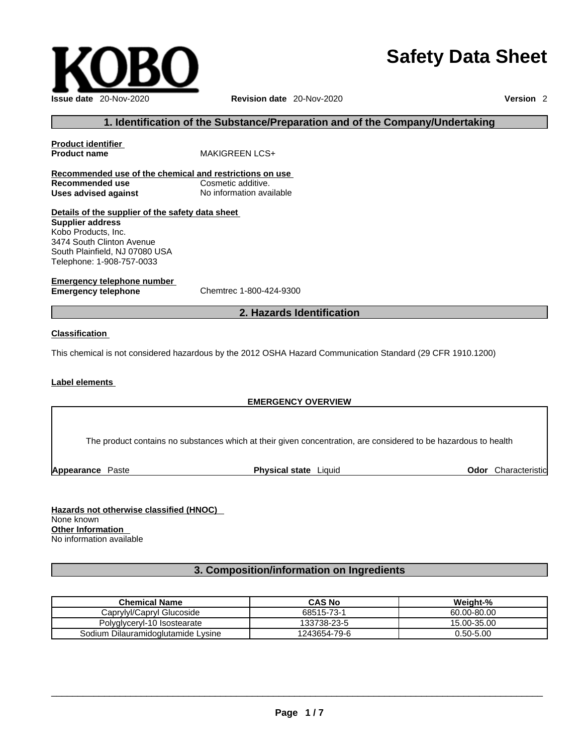# **Safety Data Sheet**



# **1. Identification of the Substance/Preparation and of the Company/Undertaking**

| Product identifier                                      |                                                                                                             |
|---------------------------------------------------------|-------------------------------------------------------------------------------------------------------------|
| <b>Product name</b>                                     | <b>MAKIGREEN LCS+</b>                                                                                       |
| Recommended use of the chemical and restrictions on use |                                                                                                             |
| Recommended use                                         | Cosmetic additive.                                                                                          |
| Uses advised against                                    | No information available                                                                                    |
| Details of the supplier of the safety data sheet        |                                                                                                             |
| <b>Supplier address</b>                                 |                                                                                                             |
| Kobo Products, Inc.                                     |                                                                                                             |
| 3474 South Clinton Avenue                               |                                                                                                             |
| South Plainfield, NJ 07080 USA                          |                                                                                                             |
| Telephone: 1-908-757-0033                               |                                                                                                             |
| Emergency telephone number                              |                                                                                                             |
| Emergency telephone                                     | Chemtrec 1-800-424-9300                                                                                     |
|                                                         | 2. Hazards Identification                                                                                   |
| Classification                                          |                                                                                                             |
|                                                         | This chemical is not considered hazardous by the 2012 OSHA Hazard Communication Standard (29 CFR 1910.1200) |
|                                                         |                                                                                                             |

#### **Label elements**

#### **EMERGENCY OVERVIEW**

The product contains no substances which at their given concentration, are considered to be hazardous to health

**Appearance** Paste **Physical state** Liquid **Odor** Characteristic

**Hazards not otherwise classified (HNOC)**  None known **Other Information**  No information available

# **3. Composition/information on Ingredients**

| <b>Chemical Name</b>               | <b>CAS No</b> | Weight-%    |
|------------------------------------|---------------|-------------|
| Caprylyl/Capryl Glucoside          | 68515-73-1    | 60.00-80.00 |
| Polyglyceryl-10 Isostearate        | 133738-23-5   | 15.00-35.00 |
| Sodium Dilauramidoglutamide Lysine | 1243654-79-6  | 0.50-5.00   |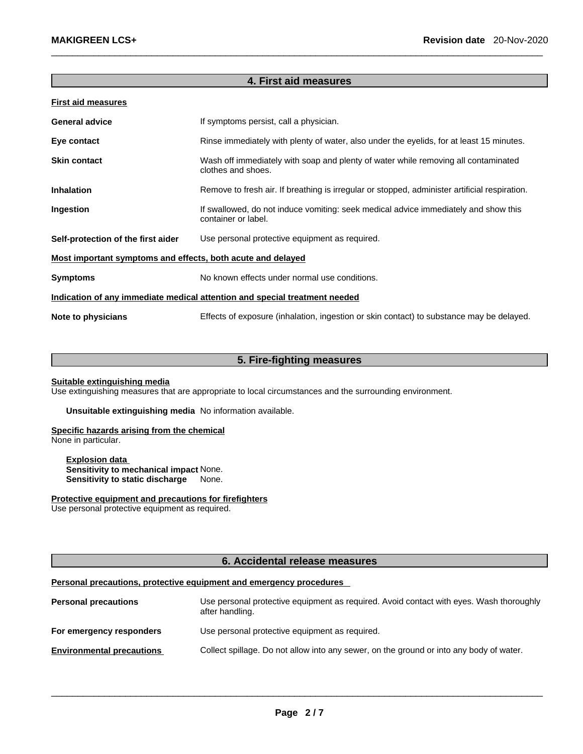# **4. First aid measures**

| <b>First aid measures</b>                                                  |                                                                                                            |  |
|----------------------------------------------------------------------------|------------------------------------------------------------------------------------------------------------|--|
| <b>General advice</b>                                                      | If symptoms persist, call a physician.                                                                     |  |
| Eye contact                                                                | Rinse immediately with plenty of water, also under the eyelids, for at least 15 minutes.                   |  |
| <b>Skin contact</b>                                                        | Wash off immediately with soap and plenty of water while removing all contaminated<br>clothes and shoes.   |  |
| <b>Inhalation</b>                                                          | Remove to fresh air. If breathing is irregular or stopped, administer artificial respiration.              |  |
| Ingestion                                                                  | If swallowed, do not induce vomiting: seek medical advice immediately and show this<br>container or label. |  |
| Self-protection of the first aider                                         | Use personal protective equipment as required.                                                             |  |
| Most important symptoms and effects, both acute and delayed                |                                                                                                            |  |
| <b>Symptoms</b>                                                            | No known effects under normal use conditions.                                                              |  |
| Indication of any immediate medical attention and special treatment needed |                                                                                                            |  |
| Note to physicians                                                         | Effects of exposure (inhalation, ingestion or skin contact) to substance may be delayed.                   |  |

# **5. Fire-fighting measures**

#### **Suitable extinguishing media**

Use extinguishing measures that are appropriate to local circumstances and the surrounding environment.

**Unsuitable extinguishing media** No information available.

#### **Specific hazards arising from the chemical**

None in particular.

#### **Explosion data Sensitivity to mechanical impact** None. **Sensitivity to static discharge** None.

**Protective equipment and precautions for firefighters**

Use personal protective equipment as required.

# **6. Accidental release measures**

#### **Personal precautions, protective equipment and emergency procedures**

| <b>Personal precautions</b>      | Use personal protective equipment as required. Avoid contact with eyes. Wash thoroughly<br>after handling. |
|----------------------------------|------------------------------------------------------------------------------------------------------------|
| For emergency responders         | Use personal protective equipment as required.                                                             |
| <b>Environmental precautions</b> | Collect spillage. Do not allow into any sewer, on the ground or into any body of water.                    |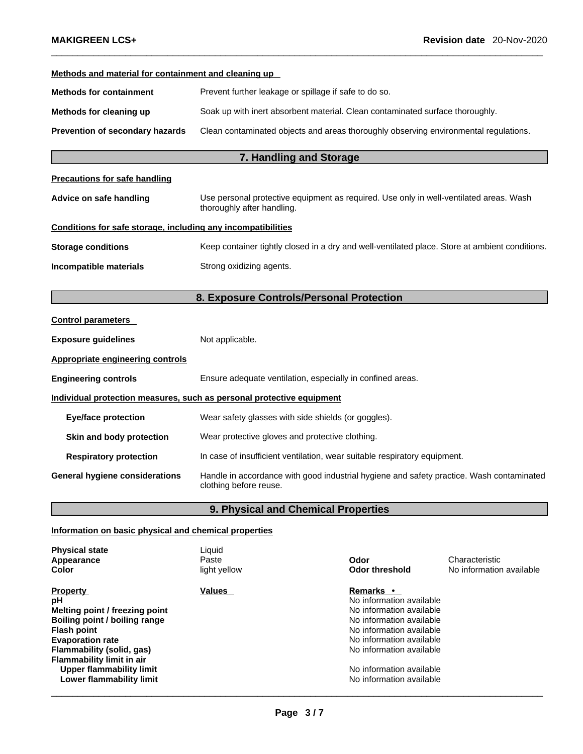| Methods and material for containment and cleaning up         |                                                                                                                      |  |
|--------------------------------------------------------------|----------------------------------------------------------------------------------------------------------------------|--|
| <b>Methods for containment</b>                               | Prevent further leakage or spillage if safe to do so.                                                                |  |
| Methods for cleaning up                                      | Soak up with inert absorbent material. Clean contaminated surface thoroughly.                                        |  |
| Prevention of secondary hazards                              | Clean contaminated objects and areas thoroughly observing environmental regulations.                                 |  |
|                                                              | 7. Handling and Storage                                                                                              |  |
| <b>Precautions for safe handling</b>                         |                                                                                                                      |  |
| Advice on safe handling                                      | Use personal protective equipment as required. Use only in well-ventilated areas. Wash<br>thoroughly after handling. |  |
| Conditions for safe storage, including any incompatibilities |                                                                                                                      |  |
| <b>Storage conditions</b>                                    | Keep container tightly closed in a dry and well-ventilated place. Store at ambient conditions.                       |  |
| Incompatible materials                                       | Strong oxidizing agents.                                                                                             |  |
|                                                              | 8. Exposure Controls/Personal Protection                                                                             |  |
| <b>Control parameters</b>                                    |                                                                                                                      |  |
| <b>Exposure guidelines</b>                                   | Not applicable.                                                                                                      |  |
| Appropriate engineering controls                             |                                                                                                                      |  |
| <b>Engineering controls</b>                                  | Ensure adequate ventilation, especially in confined areas.                                                           |  |
|                                                              | Individual protection measures, such as personal protective equipment                                                |  |
| <b>Eye/face protection</b>                                   | Wear safety glasses with side shields (or goggles).                                                                  |  |
| Skin and body protection                                     | Wear protective gloves and protective clothing.                                                                      |  |
| <b>Respiratory protection</b>                                | In case of insufficient ventilation, wear suitable respiratory equipment.                                            |  |
| <b>General hygiene considerations</b>                        | Handle in accordance with good industrial hygiene and safety practice. Wash contaminated<br>clothing before reuse.   |  |
|                                                              |                                                                                                                      |  |

# **9. Physical and Chemical Properties <b>All 2019 19. Physical and Chemical Properties**

# **Information on basic physical and chemical properties**

| <b>Physical state</b><br>Appearance<br>Color                                                                                                                                                                                                                       | Liquid<br>Paste<br>light yellow | Odor<br><b>Odor threshold</b>                                                                                                                                                                                                                    | Characteristic<br>No information available |
|--------------------------------------------------------------------------------------------------------------------------------------------------------------------------------------------------------------------------------------------------------------------|---------------------------------|--------------------------------------------------------------------------------------------------------------------------------------------------------------------------------------------------------------------------------------------------|--------------------------------------------|
| <b>Property</b><br>рH<br>Melting point / freezing point<br>Boiling point / boiling range<br><b>Flash point</b><br><b>Evaporation rate</b><br>Flammability (solid, gas)<br><b>Flammability limit in air</b><br>Upper flammability limit<br>Lower flammability limit | Values                          | <b>Remarks</b> •<br>No information available<br>No information available<br>No information available<br>No information available<br>No information available<br>No information available<br>No information available<br>No information available |                                            |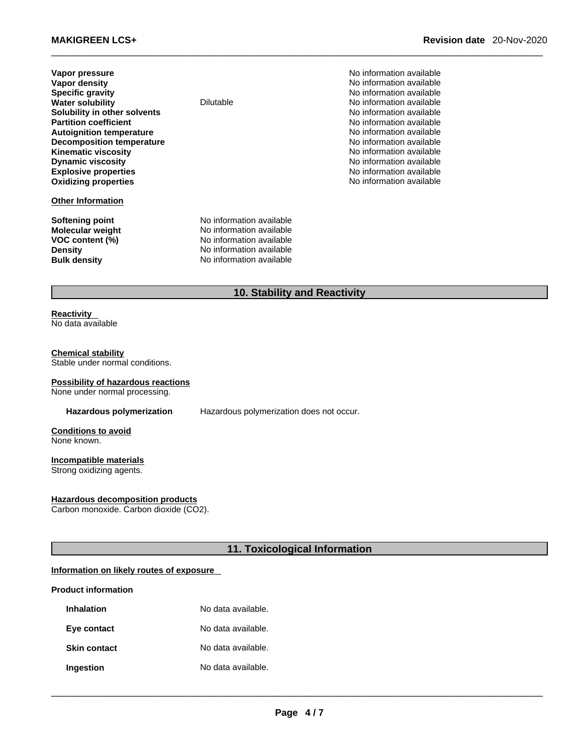| Vapor pressure                   |
|----------------------------------|
| Vapor density                    |
| <b>Specific gravity</b>          |
| <b>Water solubility</b>          |
| Solubility in other solvents     |
| <b>Partition coefficient</b>     |
| <b>Autoignition temperature</b>  |
| <b>Decomposition temperature</b> |
| <b>Kinematic viscosity</b>       |
| <b>Dynamic viscosity</b>         |
| <b>Explosive properties</b>      |
| <b>Oxidizing properties</b>      |
|                                  |

#### **Other Information**

**VOC** content (%)

**No information available No information available Specific gravity** No information available **Dilutable** No information available **No information available No information available Autoignition temperature** No information available **No information available Kinematic viscosity** No information available **No information available Explosive properties** No information available **Oxidizing properties** No information available

**Softening point**<br> **Molecular weight**<br> **Molecular weight**<br> **Molecular weight**<br> **Molecular weight No information available**<br>**No information available Density Density No information available Bulk density No information available** 

# **10. Stability and Reactivity**

#### **Reactivity**  No data available

#### **Chemical stability** Stable under normal conditions.

# **Possibility of hazardous reactions**

None under normal processing.

**Hazardous polymerization** Hazardous polymerization does not occur.

**Conditions to avoid** None known.

### **Incompatible materials**

Strong oxidizing agents.

#### **Hazardous decomposition products**

Carbon monoxide. Carbon dioxide (CO2).

**11. Toxicological Information** 

# **Information on likely routes of exposure**

### **Product information**

| <b>Inhalation</b>   | No data available. |
|---------------------|--------------------|
| Eye contact         | No data available. |
| <b>Skin contact</b> | No data available. |
| Ingestion           | No data available. |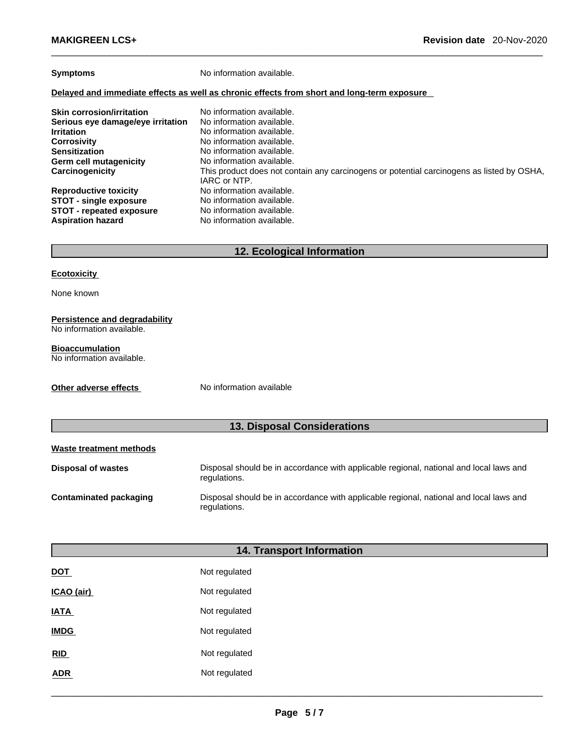**Symptoms** No information available.

#### **Delayed and immediate effects as well as chronic effects from short and long-term exposure**

| <b>Skin corrosion/irritation</b>  | No information available.                                                                                 |
|-----------------------------------|-----------------------------------------------------------------------------------------------------------|
| Serious eye damage/eye irritation | No information available.                                                                                 |
| <b>Irritation</b>                 | No information available.                                                                                 |
| <b>Corrosivity</b>                | No information available.                                                                                 |
| <b>Sensitization</b>              | No information available.                                                                                 |
| Germ cell mutagenicity            | No information available.                                                                                 |
| Carcinogenicity                   | This product does not contain any carcinogens or potential carcinogens as listed by OSHA,<br>IARC or NTP. |
| <b>Reproductive toxicity</b>      | No information available.                                                                                 |
| <b>STOT - single exposure</b>     | No information available.                                                                                 |
| <b>STOT - repeated exposure</b>   | No information available.                                                                                 |
| <b>Aspiration hazard</b>          | No information available.                                                                                 |

# **12. Ecological Information**

#### **Ecotoxicity**

None known

#### **Persistence and degradability** No information available.

#### **Bioaccumulation**

No information available.

**Other adverse effects** No information available

# **13. Disposal Considerations**

| Waste treatment methods   |                                                                                                        |
|---------------------------|--------------------------------------------------------------------------------------------------------|
| <b>Disposal of wastes</b> | Disposal should be in accordance with applicable regional, national and local laws and<br>regulations. |
| Contaminated packaging    | Disposal should be in accordance with applicable regional, national and local laws and<br>regulations. |

| <b>14. Transport Information</b> |               |  |
|----------------------------------|---------------|--|
| <b>DOT</b>                       | Not regulated |  |
| ICAO (air)                       | Not regulated |  |
| <b>IATA</b>                      | Not regulated |  |
| <b>IMDG</b>                      | Not regulated |  |
| RID                              | Not regulated |  |
| ADR                              | Not regulated |  |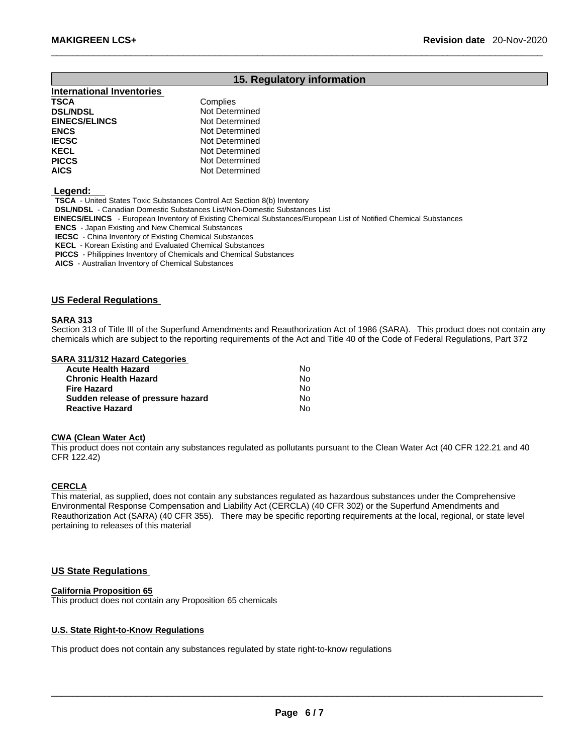# **15. Regulatory information**

| <b>International Inventories</b> |                |
|----------------------------------|----------------|
| <b>TSCA</b>                      | Complies       |
| <b>DSL/NDSL</b>                  | Not Determined |
| <b>EINECS/ELINCS</b>             | Not Determined |
| <b>ENCS</b>                      | Not Determined |
| <b>IECSC</b>                     | Not Determined |
| <b>KECL</b>                      | Not Determined |
| <b>PICCS</b>                     | Not Determined |
| <b>AICS</b>                      | Not Determined |

 **Legend:** 

**TSCA** - United States Toxic Substances Control Act Section 8(b) Inventory

**DSL/NDSL** - Canadian Domestic Substances List/Non-Domestic Substances List

 **EINECS/ELINCS** - European Inventory of Existing Chemical Substances/European List of Notified Chemical Substances

**ENCS** - Japan Existing and New Chemical Substances

**IECSC** - China Inventory of Existing Chemical Substances

**KECL** - Korean Existing and Evaluated Chemical Substances

**PICCS** - Philippines Inventory of Chemicals and Chemical Substances

**AICS** - Australian Inventory of Chemical Substances

#### **US Federal Regulations**

#### **SARA 313**

Section 313 of Title III of the Superfund Amendments and Reauthorization Act of 1986 (SARA). This product does not contain any chemicals which are subject to the reporting requirements of the Act and Title 40 of the Code of Federal Regulations, Part 372

#### **SARA 311/312 Hazard Categories**

| <b>Acute Health Hazard</b>        | No. |
|-----------------------------------|-----|
| <b>Chronic Health Hazard</b>      | Nο  |
| <b>Fire Hazard</b>                | No. |
| Sudden release of pressure hazard | No. |
| <b>Reactive Hazard</b>            | No  |

# **CWA (Clean WaterAct)**

This product does not contain any substances regulated as pollutants pursuant to the Clean Water Act (40 CFR 122.21 and 40 CFR 122.42)

#### **CERCLA**

This material, as supplied, does not contain any substances regulated as hazardous substances under the Comprehensive Environmental Response Compensation and Liability Act (CERCLA) (40 CFR 302) or the Superfund Amendments and Reauthorization Act (SARA) (40 CFR 355). There may be specific reporting requirements at the local, regional, or state level pertaining to releases of this material

#### **US State Regulations**

#### **California Proposition 65**

This product does not contain any Proposition 65 chemicals

#### **U.S. State Right-to-Know Regulations**

This product does not contain any substances regulated by state right-to-know regulations